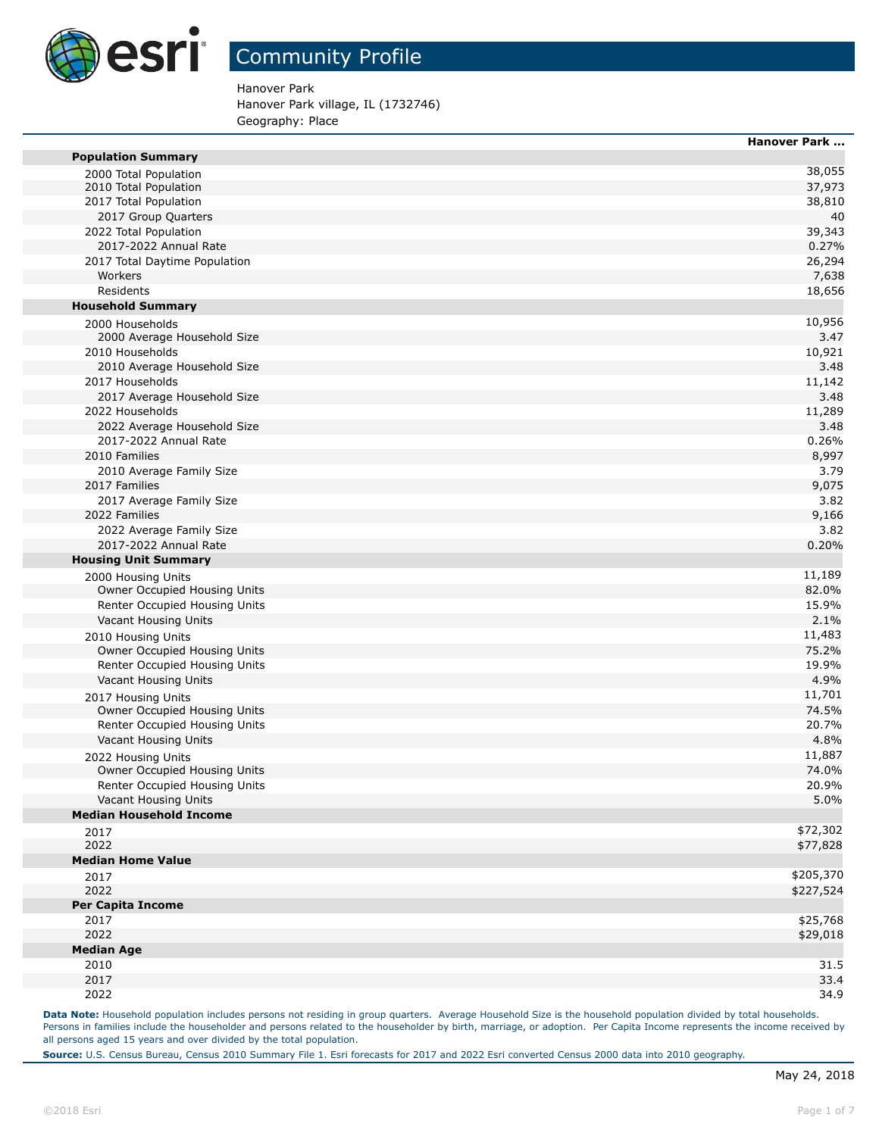

Hanover Park Hanover Park village, IL (1732746) Geography: Place

|                                                    | <b>Hanover Park </b> |
|----------------------------------------------------|----------------------|
| <b>Population Summary</b>                          |                      |
| 2000 Total Population                              | 38,055               |
| 2010 Total Population<br>2017 Total Population     | 37,973               |
|                                                    | 38,810<br>40         |
| 2017 Group Quarters                                |                      |
| 2022 Total Population                              | 39,343               |
| 2017-2022 Annual Rate                              | 0.27%                |
| 2017 Total Daytime Population                      | 26,294               |
| Workers                                            | 7,638                |
| Residents                                          | 18,656               |
| <b>Household Summary</b>                           |                      |
| 2000 Households                                    | 10,956               |
| 2000 Average Household Size                        | 3.47                 |
| 2010 Households                                    | 10,921               |
| 2010 Average Household Size                        | 3.48                 |
| 2017 Households                                    | 11,142               |
| 2017 Average Household Size                        | 3.48                 |
| 2022 Households                                    | 11,289               |
| 2022 Average Household Size                        | 3.48                 |
| 2017-2022 Annual Rate                              | 0.26%                |
| 2010 Families                                      | 8,997                |
| 2010 Average Family Size                           | 3.79                 |
| 2017 Families                                      | 9,075                |
| 2017 Average Family Size                           | 3.82                 |
| 2022 Families                                      | 9,166                |
| 2022 Average Family Size                           | 3.82                 |
| 2017-2022 Annual Rate                              | 0.20%                |
| <b>Housing Unit Summary</b>                        |                      |
| 2000 Housing Units                                 | 11,189               |
| Owner Occupied Housing Units                       | 82.0%                |
| Renter Occupied Housing Units                      | 15.9%                |
| Vacant Housing Units                               | 2.1%                 |
| 2010 Housing Units                                 | 11,483               |
| Owner Occupied Housing Units                       | 75.2%                |
| Renter Occupied Housing Units                      | 19.9%                |
| Vacant Housing Units                               | 4.9%                 |
|                                                    | 11,701               |
| 2017 Housing Units<br>Owner Occupied Housing Units | 74.5%                |
| Renter Occupied Housing Units                      | 20.7%                |
| Vacant Housing Units                               | 4.8%                 |
|                                                    |                      |
| 2022 Housing Units                                 | 11,887               |
| Owner Occupied Housing Units                       | 74.0%                |
| Renter Occupied Housing Units                      | 20.9%                |
| Vacant Housing Units                               | 5.0%                 |
| <b>Median Household Income</b>                     |                      |
| 2017                                               | \$72,302             |
| 2022                                               | \$77,828             |
| <b>Median Home Value</b>                           |                      |
| 2017                                               | \$205,370            |
| 2022                                               | \$227,524            |
| <b>Per Capita Income</b>                           |                      |
| 2017                                               | \$25,768             |
| 2022                                               | \$29,018             |
| <b>Median Age</b>                                  |                      |
| 2010                                               | 31.5                 |
| 2017                                               | 33.4                 |
| 2022                                               | 34.9                 |

Data Note: Household population includes persons not residing in group quarters. Average Household Size is the household population divided by total households. Persons in families include the householder and persons related to the householder by birth, marriage, or adoption. Per Capita Income represents the income received by all persons aged 15 years and over divided by the total population.

**Source:** U.S. Census Bureau, Census 2010 Summary File 1. Esri forecasts for 2017 and 2022 Esri converted Census 2000 data into 2010 geography.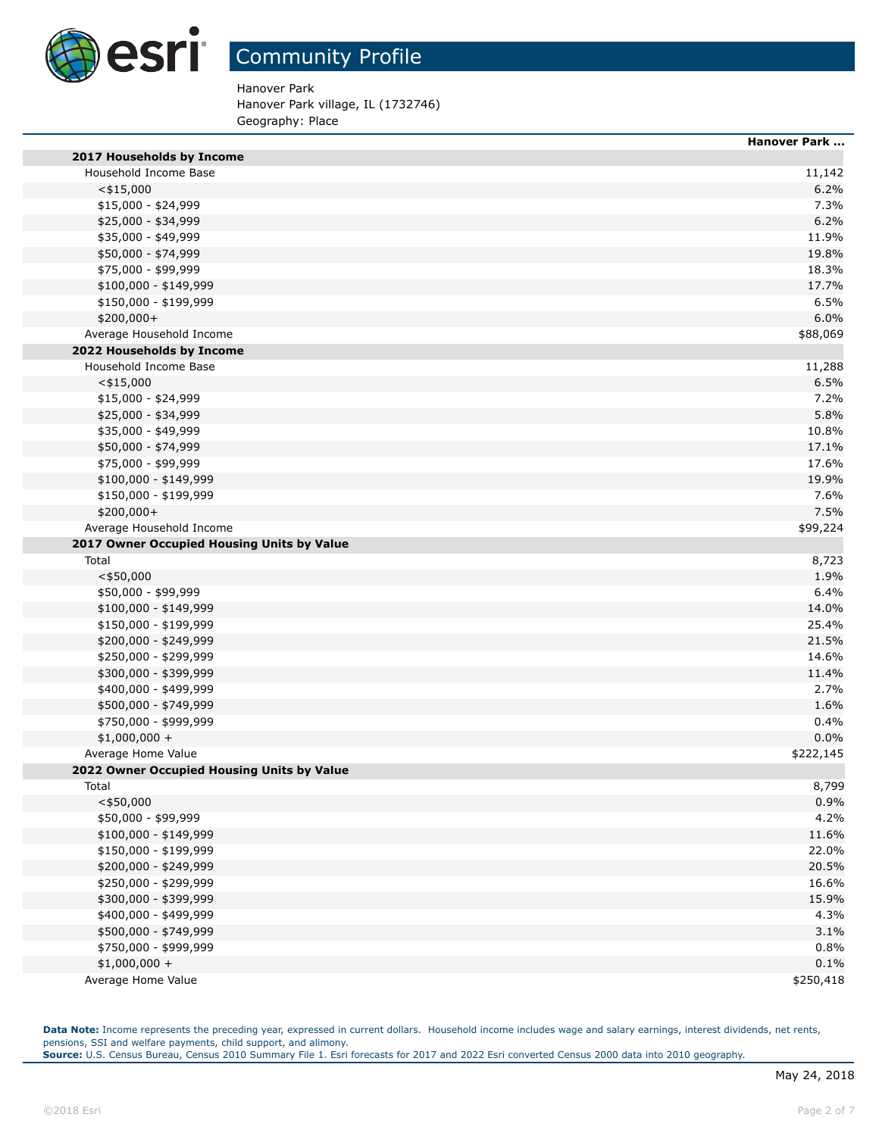

Hanover Park Hanover Park village, IL (1732746)

Geography: Place

|                                            | <b>Hanover Park </b> |
|--------------------------------------------|----------------------|
| 2017 Households by Income                  |                      |
| Household Income Base                      | 11,142               |
| $<$ \$15,000                               | 6.2%                 |
| \$15,000 - \$24,999                        | 7.3%                 |
| \$25,000 - \$34,999                        | 6.2%                 |
| \$35,000 - \$49,999                        | 11.9%                |
| \$50,000 - \$74,999                        | 19.8%                |
| \$75,000 - \$99,999                        | 18.3%                |
| \$100,000 - \$149,999                      | 17.7%                |
| \$150,000 - \$199,999                      | 6.5%                 |
| $$200,000+$                                | 6.0%                 |
| Average Household Income                   | \$88,069             |
| 2022 Households by Income                  |                      |
| Household Income Base                      | 11,288               |
| $<$ \$15,000                               | 6.5%                 |
| $$15,000 - $24,999$                        | 7.2%                 |
| \$25,000 - \$34,999                        | 5.8%                 |
| \$35,000 - \$49,999                        | 10.8%                |
| \$50,000 - \$74,999                        | 17.1%                |
| \$75,000 - \$99,999                        | 17.6%                |
| \$100,000 - \$149,999                      | 19.9%                |
| \$150,000 - \$199,999                      | 7.6%                 |
| \$200,000+                                 | 7.5%                 |
| Average Household Income                   | \$99,224             |
| 2017 Owner Occupied Housing Units by Value |                      |
| Total                                      | 8,723                |
| $<$ \$50,000                               | 1.9%                 |
| \$50,000 - \$99,999                        | 6.4%                 |
| \$100,000 - \$149,999                      | 14.0%                |
| \$150,000 - \$199,999                      | 25.4%                |
| \$200,000 - \$249,999                      | 21.5%                |
| \$250,000 - \$299,999                      | 14.6%                |
| \$300,000 - \$399,999                      | 11.4%                |
| \$400,000 - \$499,999                      | 2.7%                 |
| \$500,000 - \$749,999                      | 1.6%                 |
| \$750,000 - \$999,999                      | 0.4%                 |
| $$1,000,000 +$                             | 0.0%                 |
| Average Home Value                         | \$222,145            |
| 2022 Owner Occupied Housing Units by Value |                      |
| Total                                      | 8,799                |
| $<$ \$50,000                               | 0.9%                 |
| \$50,000 - \$99,999                        | 4.2%                 |
| \$100,000 - \$149,999                      | 11.6%                |
| \$150,000 - \$199,999                      | 22.0%                |
| \$200,000 - \$249,999                      | 20.5%                |
| \$250,000 - \$299,999                      | 16.6%                |
| \$300,000 - \$399,999                      | 15.9%                |
| \$400,000 - \$499,999                      | 4.3%                 |
| \$500,000 - \$749,999                      | 3.1%                 |
| \$750,000 - \$999,999                      | 0.8%                 |
| $$1,000,000 +$                             | 0.1%                 |
| Average Home Value                         | \$250,418            |
|                                            |                      |

Data Note: Income represents the preceding year, expressed in current dollars. Household income includes wage and salary earnings, interest dividends, net rents, pensions, SSI and welfare payments, child support, and alimony. **Source:** U.S. Census Bureau, Census 2010 Summary File 1. Esri forecasts for 2017 and 2022 Esri converted Census 2000 data into 2010 geography.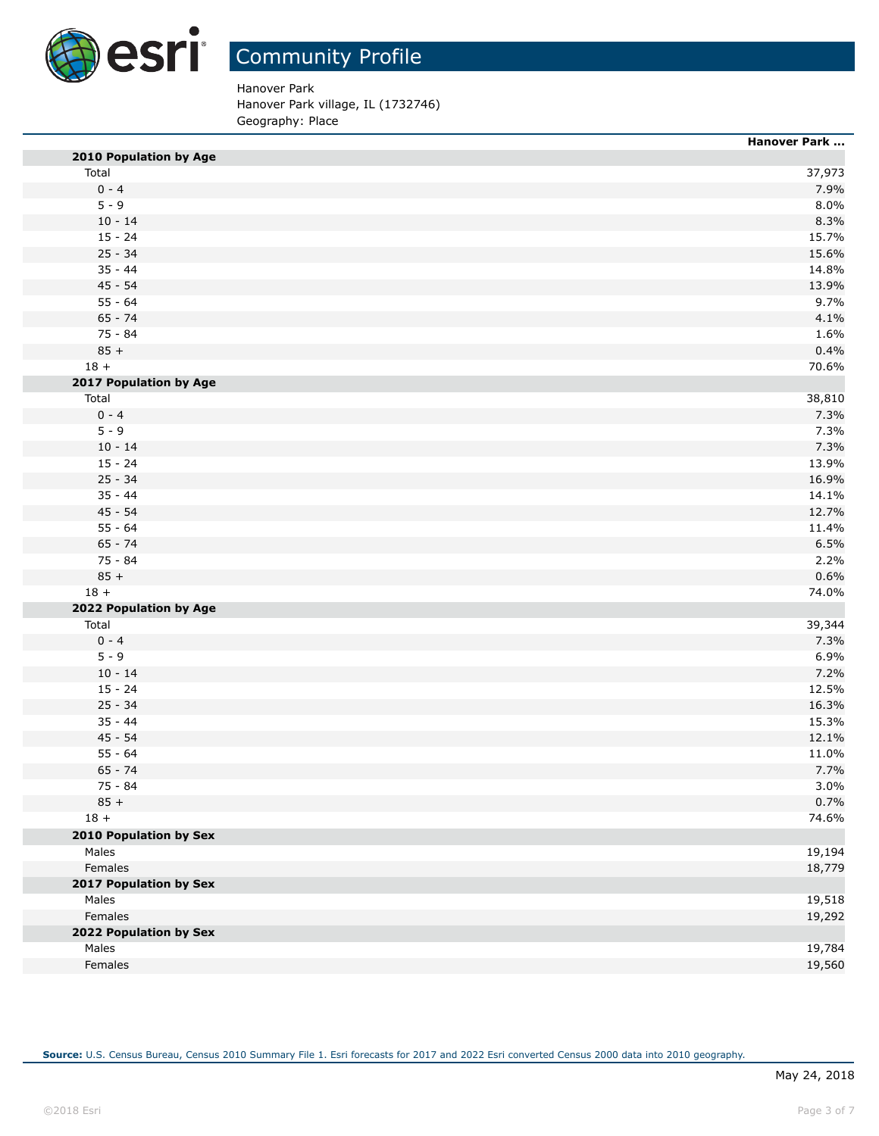

Hanover Park Hanover Park village, IL (1732746)

Geography: Place

|                        | Hanover Park |
|------------------------|--------------|
| 2010 Population by Age |              |
| Total                  | 37,973       |
| $0 - 4$                | 7.9%         |
| $5 - 9$                | 8.0%         |
| $10 - 14$              | 8.3%         |
| $15 - 24$              | 15.7%        |
| $25 - 34$              | 15.6%        |
| $35 - 44$              | 14.8%        |
| $45 - 54$              | 13.9%        |
| $55 - 64$              | 9.7%         |
| $65 - 74$              | 4.1%         |
| 75 - 84                | 1.6%         |
| $85 +$                 | 0.4%         |
| $18 +$                 | 70.6%        |
| 2017 Population by Age |              |
| Total                  | 38,810       |
| $0 - 4$                | 7.3%         |
| $5 - 9$                | 7.3%         |
| $10 - 14$              | 7.3%         |
| $15 - 24$              | 13.9%        |
| $25 - 34$              | 16.9%        |
| $35 - 44$              | 14.1%        |
| $45 - 54$              | 12.7%        |
| $55 - 64$              | 11.4%        |
| $65 - 74$              | 6.5%         |
| 75 - 84                | 2.2%         |
| $85 +$                 | 0.6%         |
| $18 +$                 | 74.0%        |
| 2022 Population by Age |              |
| Total                  | 39,344       |
| $0 - 4$                | 7.3%         |
| $5 - 9$                | 6.9%         |
| $10 - 14$              | 7.2%         |
| $15 - 24$              | 12.5%        |
| $25 - 34$              | 16.3%        |
| $35 - 44$              | 15.3%        |
| $45 - 54$              | 12.1%        |
| $55 - 64$              | 11.0%        |
| $65 - 74$              | 7.7%         |
| 75 - 84                | 3.0%         |
| $85 +$                 | 0.7%         |
| $18 +$                 | 74.6%        |
| 2010 Population by Sex |              |
| Males                  | 19,194       |
| Females                | 18,779       |
| 2017 Population by Sex |              |
| Males                  | 19,518       |
| Females                | 19,292       |
| 2022 Population by Sex |              |
| Males                  | 19,784       |
| Females                | 19,560       |
|                        |              |

**Source:** U.S. Census Bureau, Census 2010 Summary File 1. Esri forecasts for 2017 and 2022 Esri converted Census 2000 data into 2010 geography.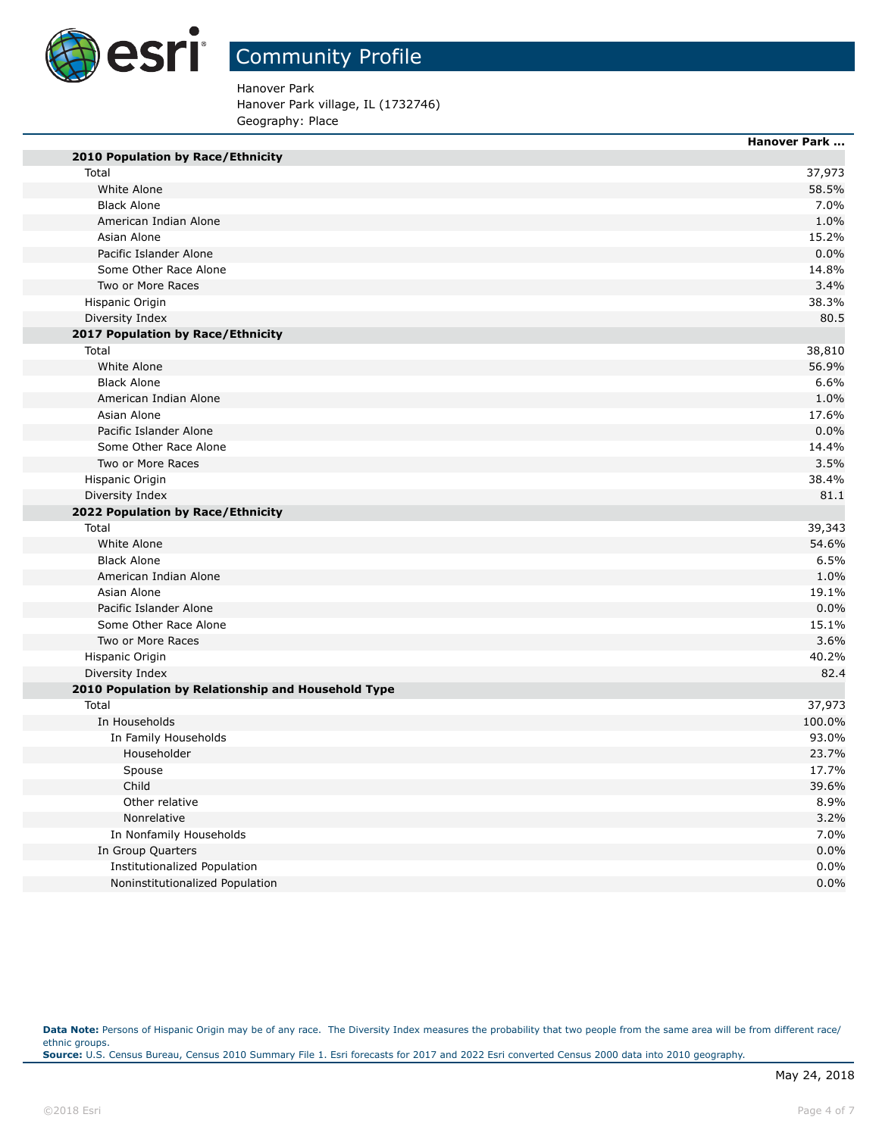

## Community Profile

Hanover Park

Hanover Park village, IL (1732746) Geography: Place

|                                                    | <b>Hanover Park </b> |
|----------------------------------------------------|----------------------|
| 2010 Population by Race/Ethnicity                  |                      |
| Total                                              | 37,973               |
| White Alone                                        | 58.5%                |
| <b>Black Alone</b>                                 | 7.0%                 |
| American Indian Alone                              | 1.0%                 |
| Asian Alone                                        | 15.2%                |
| Pacific Islander Alone                             | 0.0%                 |
| Some Other Race Alone                              | 14.8%                |
| Two or More Races                                  | 3.4%                 |
| Hispanic Origin                                    | 38.3%                |
| Diversity Index                                    | 80.5                 |
| 2017 Population by Race/Ethnicity                  |                      |
| Total                                              | 38,810               |
| White Alone                                        | 56.9%                |
| <b>Black Alone</b>                                 | 6.6%                 |
| American Indian Alone                              | 1.0%                 |
| Asian Alone                                        | 17.6%                |
| Pacific Islander Alone                             | 0.0%                 |
| Some Other Race Alone                              | 14.4%                |
| Two or More Races                                  | 3.5%                 |
| Hispanic Origin                                    | 38.4%                |
| Diversity Index                                    | 81.1                 |
| 2022 Population by Race/Ethnicity                  |                      |
| Total                                              | 39,343               |
| White Alone                                        | 54.6%                |
| <b>Black Alone</b>                                 | 6.5%                 |
| American Indian Alone                              | 1.0%                 |
| Asian Alone                                        | 19.1%                |
| Pacific Islander Alone                             | 0.0%                 |
| Some Other Race Alone                              | 15.1%                |
| Two or More Races                                  | 3.6%                 |
| Hispanic Origin                                    | 40.2%                |
| Diversity Index                                    | 82.4                 |
| 2010 Population by Relationship and Household Type |                      |
| Total                                              | 37,973               |
| In Households                                      | 100.0%               |
| In Family Households                               | 93.0%                |
| Householder                                        | 23.7%                |
| Spouse                                             | 17.7%                |
| Child                                              | 39.6%                |
| Other relative                                     | 8.9%                 |
| Nonrelative                                        | 3.2%                 |
| In Nonfamily Households                            | 7.0%                 |
| In Group Quarters                                  | 0.0%                 |
| Institutionalized Population                       | 0.0%                 |
| Noninstitutionalized Population                    | 0.0%                 |
|                                                    |                      |

Data Note: Persons of Hispanic Origin may be of any race. The Diversity Index measures the probability that two people from the same area will be from different race/ ethnic groups. **Source:** U.S. Census Bureau, Census 2010 Summary File 1. Esri forecasts for 2017 and 2022 Esri converted Census 2000 data into 2010 geography.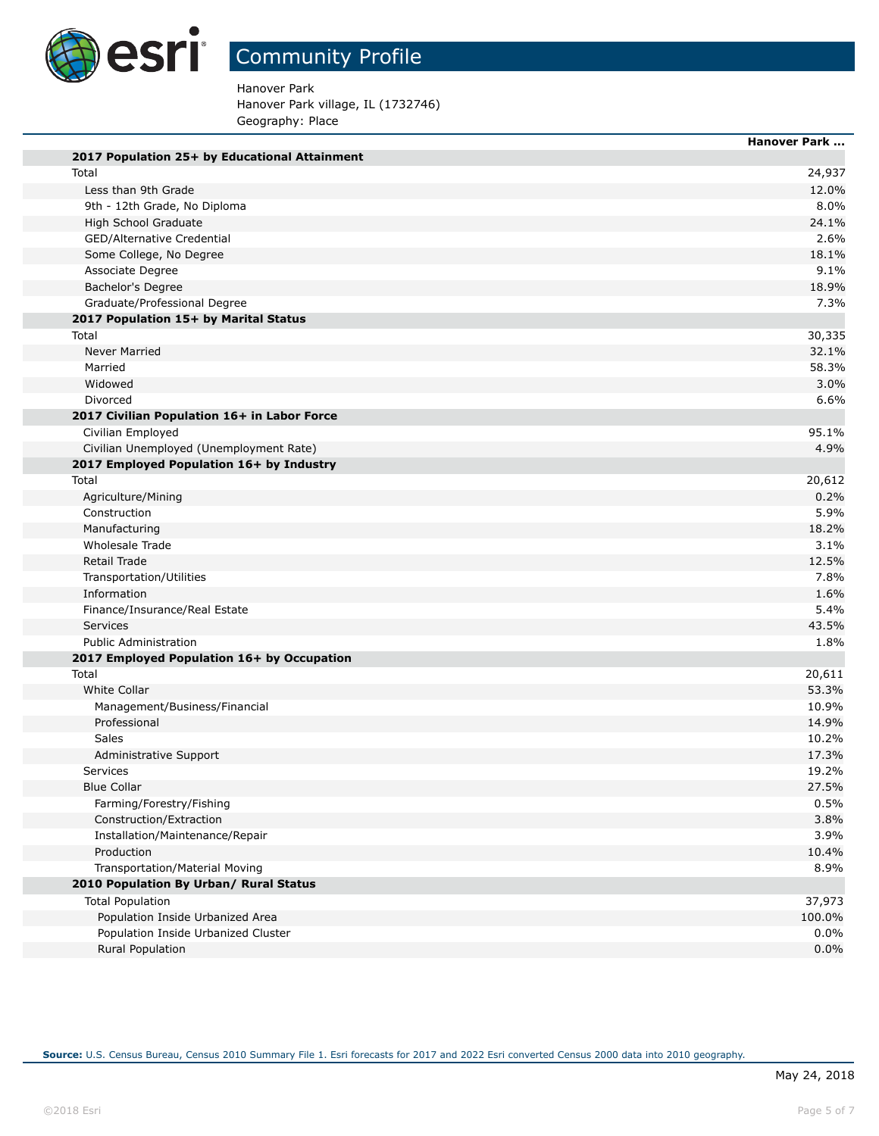

# Community Profile

Hanover Park Hanover Park village, IL (1732746) Geography: Place

|                                               | <b>Hanover Park </b> |
|-----------------------------------------------|----------------------|
| 2017 Population 25+ by Educational Attainment |                      |
| Total                                         | 24,937               |
| Less than 9th Grade                           | 12.0%                |
| 9th - 12th Grade, No Diploma                  | 8.0%                 |
| High School Graduate                          | 24.1%                |
| GED/Alternative Credential                    | 2.6%                 |
| Some College, No Degree                       | 18.1%                |
| Associate Degree                              | 9.1%                 |
| Bachelor's Degree                             | 18.9%                |
| Graduate/Professional Degree                  | 7.3%                 |
| 2017 Population 15+ by Marital Status         |                      |
| Total                                         | 30,335               |
| Never Married                                 | 32.1%                |
| Married                                       | 58.3%                |
| Widowed                                       | 3.0%                 |
| Divorced                                      | 6.6%                 |
| 2017 Civilian Population 16+ in Labor Force   |                      |
| Civilian Employed                             | 95.1%                |
| Civilian Unemployed (Unemployment Rate)       | 4.9%                 |
| 2017 Employed Population 16+ by Industry      |                      |
| Total                                         | 20,612               |
| Agriculture/Mining                            | 0.2%                 |
| Construction                                  | 5.9%                 |
| Manufacturing                                 | 18.2%                |
| Wholesale Trade                               | 3.1%                 |
| Retail Trade                                  | 12.5%                |
| Transportation/Utilities                      | 7.8%                 |
| Information                                   | 1.6%                 |
| Finance/Insurance/Real Estate                 | 5.4%                 |
| Services                                      | 43.5%                |
| <b>Public Administration</b>                  | 1.8%                 |
| 2017 Employed Population 16+ by Occupation    |                      |
| Total                                         | 20,611               |
| <b>White Collar</b>                           | 53.3%                |
| Management/Business/Financial                 | 10.9%                |
| Professional                                  | 14.9%                |
| Sales                                         | 10.2%                |
| Administrative Support                        | 17.3%                |
| <b>Services</b>                               | 19.2%                |
| <b>Blue Collar</b>                            | 27.5%                |
| Farming/Forestry/Fishing                      | 0.5%                 |
| Construction/Extraction                       | 3.8%                 |
| Installation/Maintenance/Repair               | 3.9%                 |
| Production                                    | 10.4%                |
| Transportation/Material Moving                | 8.9%                 |
| 2010 Population By Urban/ Rural Status        |                      |
| <b>Total Population</b>                       | 37,973               |
| Population Inside Urbanized Area              | 100.0%               |
| Population Inside Urbanized Cluster           | 0.0%                 |
| Rural Population                              | 0.0%                 |
|                                               |                      |

**Source:** U.S. Census Bureau, Census 2010 Summary File 1. Esri forecasts for 2017 and 2022 Esri converted Census 2000 data into 2010 geography.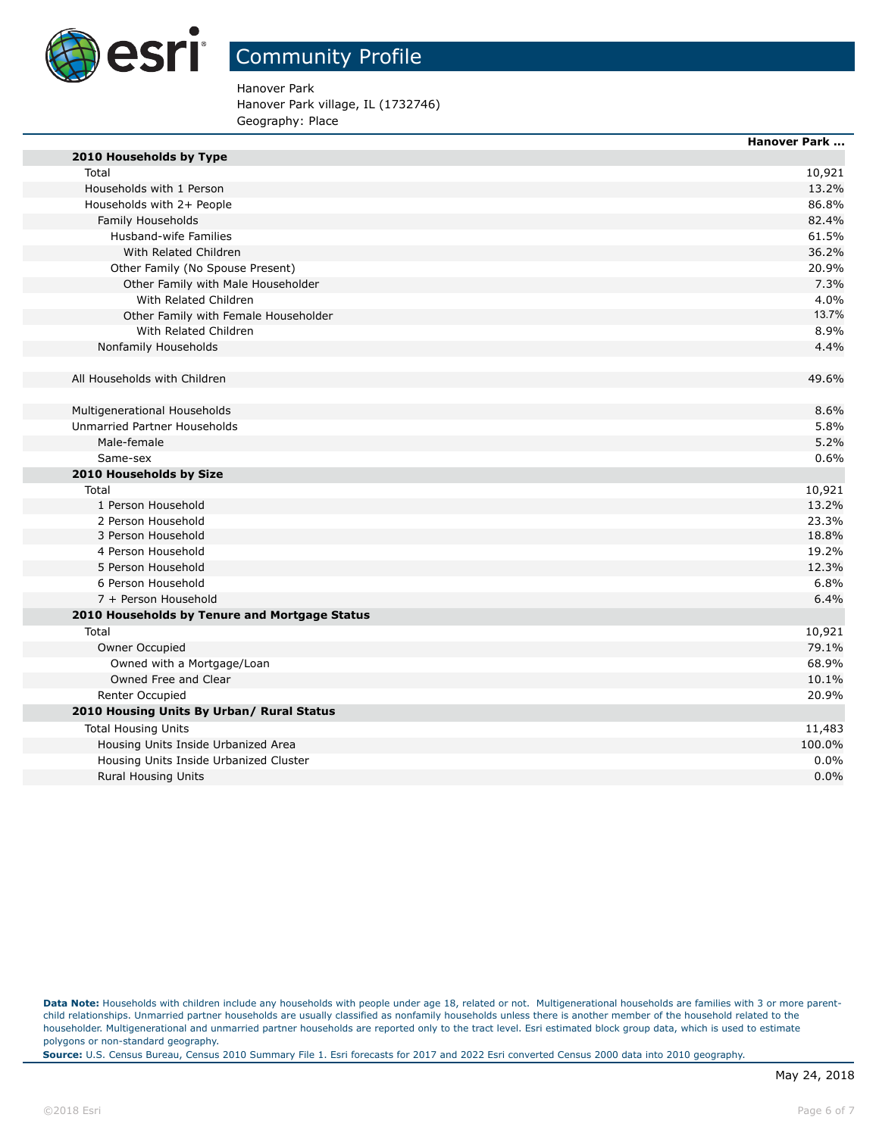

Hanover Park Hanover Park village, IL (1732746) Geography: Place

|                                               | <b>Hanover Park </b> |
|-----------------------------------------------|----------------------|
| 2010 Households by Type                       |                      |
| Total                                         | 10,921               |
| Households with 1 Person                      | 13.2%                |
| Households with 2+ People                     | 86.8%                |
| Family Households                             | 82.4%                |
| Husband-wife Families                         | 61.5%                |
| With Related Children                         | 36.2%                |
| Other Family (No Spouse Present)              | 20.9%                |
| Other Family with Male Householder            | 7.3%                 |
| With Related Children                         | 4.0%                 |
| Other Family with Female Householder          | 13.7%                |
| With Related Children                         | 8.9%                 |
| Nonfamily Households                          | 4.4%                 |
| All Households with Children                  | 49.6%                |
| Multigenerational Households                  | 8.6%                 |
| Unmarried Partner Households                  | 5.8%                 |
| Male-female                                   | 5.2%                 |
| Same-sex                                      | 0.6%                 |
| 2010 Households by Size                       |                      |
| Total                                         | 10,921               |
| 1 Person Household                            | 13.2%                |
| 2 Person Household                            | 23.3%                |
| 3 Person Household                            | 18.8%                |
| 4 Person Household                            | 19.2%                |
| 5 Person Household                            | 12.3%                |
| 6 Person Household                            | 6.8%                 |
| 7 + Person Household                          | 6.4%                 |
| 2010 Households by Tenure and Mortgage Status |                      |
| Total                                         | 10,921               |
| Owner Occupied                                | 79.1%                |
| Owned with a Mortgage/Loan                    | 68.9%                |
| Owned Free and Clear                          | 10.1%                |
| Renter Occupied                               | 20.9%                |
| 2010 Housing Units By Urban/ Rural Status     |                      |
| <b>Total Housing Units</b>                    | 11,483               |
| Housing Units Inside Urbanized Area           | 100.0%               |
| Housing Units Inside Urbanized Cluster        | 0.0%                 |
| <b>Rural Housing Units</b>                    | 0.0%                 |

Data Note: Households with children include any households with people under age 18, related or not. Multigenerational households are families with 3 or more parentchild relationships. Unmarried partner households are usually classified as nonfamily households unless there is another member of the household related to the householder. Multigenerational and unmarried partner households are reported only to the tract level. Esri estimated block group data, which is used to estimate polygons or non-standard geography.

**Source:** U.S. Census Bureau, Census 2010 Summary File 1. Esri forecasts for 2017 and 2022 Esri converted Census 2000 data into 2010 geography.